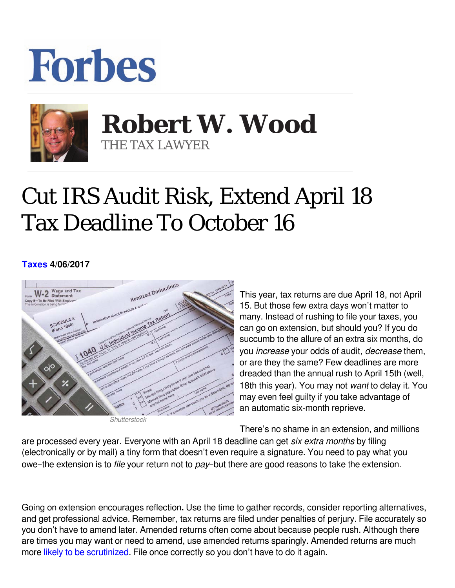## **Forbes**



## **Robert W. Wood Robert W. Wood** THE TAX LAWYER THE TAX LAWYER

## Cut IRS Audit Risk, Extend April 18 Tax Deadline To October 16

## **[Taxes](https://www.forbes.com/taxes) 4/06/2017**



*Shutterstock*

This year, tax returns are due April 18, not April 15. But those few extra days won't matter to many. Instead of rushing to file your taxes, you can go on extension, but should you? If you do succumb to the allure of an extra six months, do you *increase* your odds of audit, *decrease them*, or are they the same? Few deadlines are more dreaded than the annual rush to April 15th (well, 18th this year). You may not want to delay it. You may even feel guilty if you take advantage of an automatic six-month reprieve.

There's no shame in an extension, and millions

are processed every year. Everyone with an April 18 deadline can get *six extra months* by filing (electronically or by mail) a tiny form that doesn't even require a signature. You need to pay what you owe–the extension is to *file* your return not to pay–but there are good reasons to take the extension.

Going on extension encourages reflection**.** Use the time to gather records, consider reporting alternatives, and get professional advice. Remember, tax returns are filed under penalties of perjury. File accurately so you don't have to amend later. Amended returns often come about because people rush. Although there are times you may want or need to amend, use amended returns sparingly. Amended returns are much more [likely to be scrutinized](http://www.forbes.com/sites/robertwood/2012/04/20/5-simple-rules-to-follow-when-amending-your-tax-return/). File once correctly so you don't have to do it again.